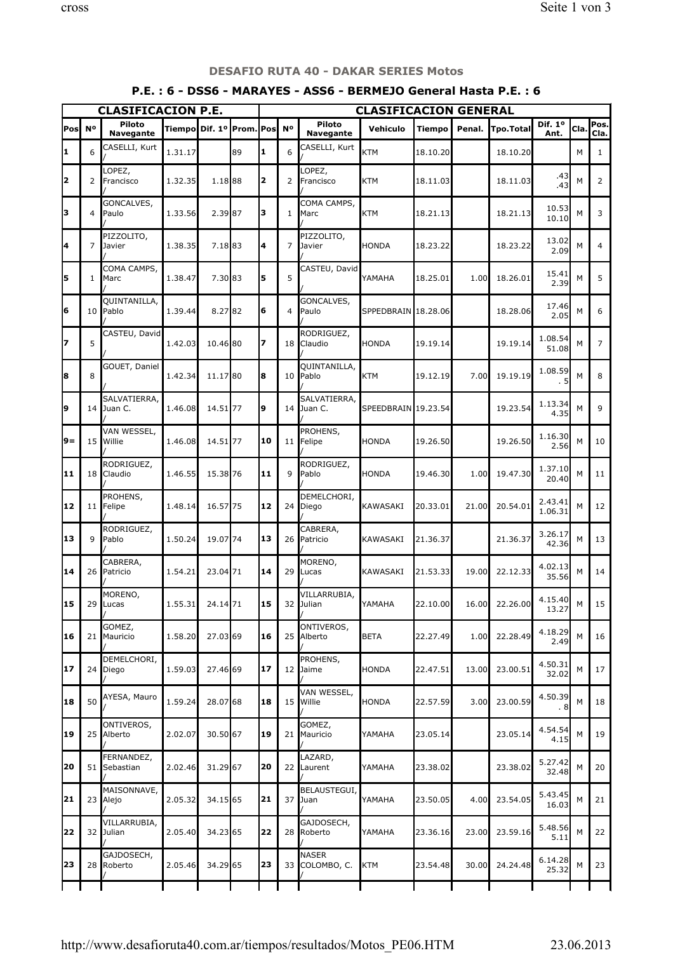| <b>CLASIFICACION P.E.</b> |                |                            |                            |          |    |    | <b>CLASIFICACION GENERAL</b> |                            |                     |          |        |                |                    |      |                |
|---------------------------|----------------|----------------------------|----------------------------|----------|----|----|------------------------------|----------------------------|---------------------|----------|--------|----------------|--------------------|------|----------------|
| Pos                       | N <sup>o</sup> | Piloto<br><b>Navegante</b> | Tiempo  Dif. 1º  Prom. Pos |          |    |    | <b>N°</b>                    | Piloto<br>Navegante        | Vehiculo            | Tiempo   | Penal. | Tpo.Total      | Dif. 1º<br>Ant.    | Cla. | Pos.<br>Cla.   |
| 1                         | 6              | CASELLI, Kurt              | 1.31.17                    |          | 89 | 1  | 6                            | CASELLI, Kurt              | <b>KTM</b>          | 18.10.20 |        | 18.10.20       |                    | M    | $\mathbf{1}$   |
| 2                         | 2              | LOPEZ,<br>Francisco        | 1.32.35                    | 1.18 88  |    | 2  | 2                            | OPEZ,<br>Francisco         | KTM                 | 18.11.03 |        | 18.11.03       | .43<br>.43         | М    | $\overline{2}$ |
| 3                         | 4              | GONCALVES,<br>Paulo        | 1.33.56                    | 2.39 87  |    | з  | $\mathbf{1}$                 | COMA CAMPS,<br>Marc        | KTM                 | 18.21.13 |        | 18.21.13       | 10.53<br>10.10     | M    | 3              |
| 4                         | 7              | PIZZOLITO,<br>Javier       | 1.38.35                    | 7.1883   |    | 4  | 7                            | PIZZOLITO,<br>Javier       | <b>HONDA</b>        | 18.23.22 |        | 18.23.22       | 13.02<br>2.09      | M    | $\overline{4}$ |
| 5                         | 1              | COMA CAMPS,<br>Marc        | 1.38.47                    | 7.30 83  |    | 5  | 5                            | CASTEU, David              | YAMAHA              | 18.25.01 | 1.00   | 18.26.01       | 15.41<br>2.39      | M    | 5              |
| 6                         | 10             | QUINTANILLA,<br>Pablo      | 1.39.44                    | 8.2782   |    | 6  | 4                            | GONCALVES,<br>Paulo        | SPPEDBRAIN 18.28.06 |          |        | 18.28.06       | 17.46<br>2.05      | M    | 6              |
| 7                         | 5              | CASTEU, David              | 1.42.03                    | 10.46 80 |    | 7  | 18 <sup>1</sup>              | RODRIGUEZ,<br>Claudio      | <b>HONDA</b>        | 19.19.14 |        | 19.19.14       | 1.08.54<br>51.08   | М    | 7              |
| 8                         | 8              | GOUET, Daniel              | 1.42.34                    | 11.17 80 |    | 8  | 10 <sup>1</sup>              | QUINTANILLA,<br>Pablo      | KTM                 | 19.12.19 | 7.00   | 19.19.19       | 1.08.59<br>. 5     | M    | 8              |
| 9                         | 14             | SALVATIERRA,<br>Juan C.    | 1.46.08                    | 14.51 77 |    | 9  |                              | SALVATIERRA,<br>14 Juan C. | SPEEDBRAIN 19.23.54 |          |        | 19.23.54       | 1.13.34<br>4.35    | M    | 9              |
| 9=                        | 15             | VAN WESSEL,<br>Willie      | 1.46.08                    | 14.51 77 |    | 10 | 11 I                         | PROHENS,<br>Felipe         | HONDA               | 19.26.50 |        | 19.26.50       | 1.16.30<br>2.56    | M    | 10             |
| 11                        | 18             | RODRIGUEZ,<br>Claudio      | 1.46.55                    | 15.38 76 |    | 11 | $\mathsf{Q}$                 | RODRIGUEZ,<br>Pablo        | HONDA               | 19.46.30 | 1.00   | 19.47.30       | 1.37.10<br>20.40   | M    | 11             |
| 12                        |                | PROHENS,<br>11   Felipe    | 1.48.14                    | 16.57 75 |    | 12 |                              | DEMELCHORI,<br>24 Diego    | KAWASAKI            | 20.33.01 | 21.00  | 20.54.01       | 2.43.41<br>1.06.31 | M    | 12             |
| 13                        | 9              | RODRIGUEZ,<br>Pablo        | 1.50.24                    | 19.07 74 |    | 13 | 26 <sub>1</sub>              | CABRERA,<br>Patricio       | <b>KAWASAKI</b>     | 21.36.37 |        | 21.36.37       | 3.26.17<br>42.36   | M    | 13             |
| 14                        | 26             | CABRERA,<br>Patricio       | 1.54.21                    | 23.04 71 |    | 14 | 29 <sup>1</sup>              | MORENO,<br>Lucas           | KAWASAKI            | 21.53.33 | 19.00  | 22.12.33       | 4.02.13<br>35.56   | M    | 14             |
| 15                        |                | MORENO,<br>29 Lucas        | 1.55.31                    | 24.14 71 |    | 15 |                              | VILLARRUBIA,<br>32 Julian  | IYAMAHA             | 22.10.00 |        | 16.00 22.26.00 | 4.15.40<br>13.27   | M    | 15             |
| 16                        | 21             | GOMEZ,<br>Mauricio         | 1.58.20                    | 27.03 69 |    | 16 |                              | ONTIVEROS,<br>25 Alberto   | <b>BETA</b>         | 22.27.49 | 1.00   | 22.28.49       | 4.18.29<br>2.49    | М    | 16             |
| 17                        | 24             | DEMELCHORI,<br>Diego       | 1.59.03                    | 27.46 69 |    | 17 |                              | PROHENS,<br>12 Jaime       | HONDA               | 22.47.51 | 13.00  | 23.00.51       | 4.50.31<br>32.02   | М    | 17             |
| 18                        | 50             | AYESA, Mauro               | 1.59.24                    | 28.07 68 |    | 18 | 15 <sub>l</sub>              | VAN WESSEL,<br>Willie      | <b>HONDA</b>        | 22.57.59 | 3.00   | 23.00.59       | 4.50.39<br>. 8     | М    | 18             |
| 19                        | 25             | ONTIVEROS,<br>Alberto      | 2.02.07                    | 30.50 67 |    | 19 | 21 I                         | GOMEZ,<br>Mauricio         | YAMAHA              | 23.05.14 |        | 23.05.14       | 4.54.54<br>4.15    | М    | 19             |
| 20                        | 51             | FERNANDEZ,<br>Sebastian    | 2.02.46                    | 31.29 67 |    | 20 | 22 <sub>1</sub>              | LAZARD,<br>Laurent         | YAMAHA              | 23.38.02 |        | 23.38.02       | 5.27.42<br>32.48   | М    | 20             |
| 21                        | 23             | MAISONNAVE,<br>Alejo       | 2.05.32                    | 34.15 65 |    | 21 |                              | BELAUSTEGUI,<br>37 Juan    | YAMAHA              | 23.50.05 | 4.00   | 23.54.05       | 5.43.45<br>16.03   | М    | 21             |
| 22                        | 32             | VILLARRUBIA,<br>Julian     | 2.05.40                    | 34.23 65 |    | 22 |                              | GAJDOSECH,<br>28 Roberto   | <b>YAMAHA</b>       | 23.36.16 | 23.00  | 23.59.16       | 5.48.56<br>5.11    | М    | 22             |
| 23                        | 28             | GAJDOSECH,<br>Roberto      | 2.05.46                    | 34.29 65 |    | 23 | 33 <sup>1</sup>              | NASER<br>COLOMBO, C.       | KTM                 | 23.54.48 | 30.00  | 24.24.48       | 6.14.28<br>25.32   | М    | 23             |
|                           |                |                            |                            |          |    |    |                              |                            |                     |          |        |                |                    |      |                |

## DESAFIO RUTA 40 - DAKAR SERIES Motos

## P.E. : 6 - DSS6 - MARAYES - ASS6 - BERMEJO General Hasta P.E. : 6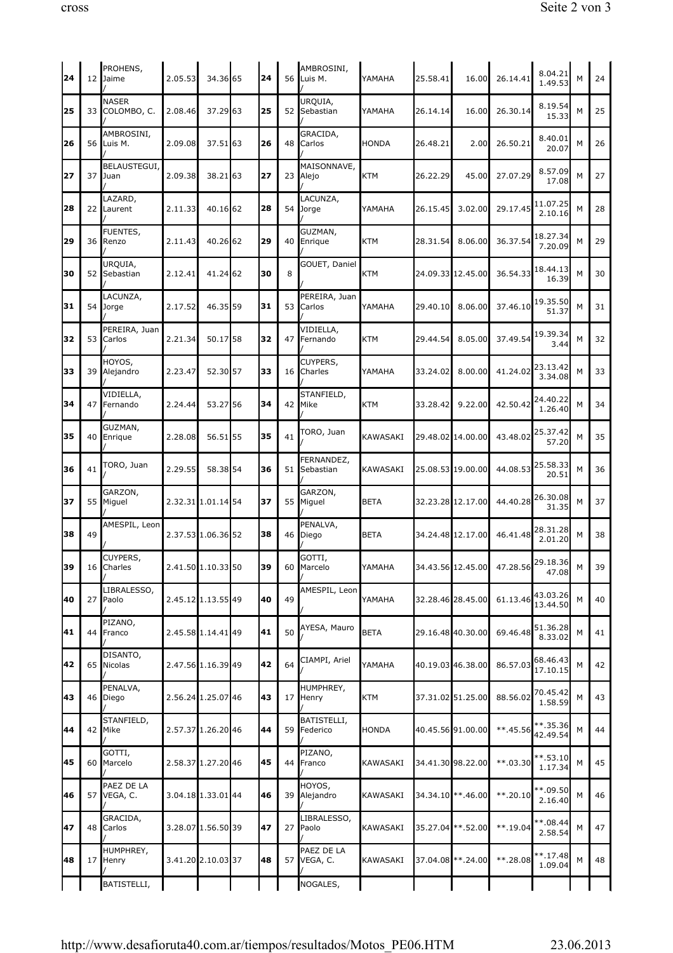| 24 |    | PROHENS,<br>12 Jaime        | 2.05.53            | 34.36 65           | 24 | 56 | AMBROSINI,<br>Luis M.   | YAMAHA       | 25.58.41           | 16.00              | 26.14.41                                                                  | 8.04.21<br>1.49.53      | M | 24 |
|----|----|-----------------------------|--------------------|--------------------|----|----|-------------------------|--------------|--------------------|--------------------|---------------------------------------------------------------------------|-------------------------|---|----|
| 25 | 33 | <b>NASER</b><br>COLOMBO, C. | 2.08.46            | 37.29 63           | 25 | 52 | UROUIA,<br>Sebastian    | YAMAHA       | 26.14.14           | 16.00              | 26.30.14                                                                  | 8.19.54<br>15.33        | M | 25 |
| 26 | 56 | AMBROSINI,<br>Luis M.       | 2.09.08            | 37.5163            | 26 | 48 | GRACIDA,<br>Carlos      | <b>HONDA</b> | 26.48.21           | 2.00               | 26.50.21                                                                  | 8.40.01<br>20.07        | M | 26 |
| 27 | 37 | BELAUSTEGUI,<br>Juan        | 2.09.38            | 38.2163            | 27 | 23 | MAISONNAVE,<br>Alejo    | <b>KTM</b>   | 26.22.29           | 45.00              | 27.07.29                                                                  | 8.57.09<br>17.08        | M | 27 |
| 28 | 22 | LAZARD,<br>Laurent          | 2.11.33            | 40.16 62           | 28 | 54 | LACUNZA,<br>Jorge       | YAMAHA       | 26.15.45           | 3.02.00            | 29.17.45                                                                  | 11.07.25<br>2.10.16     | M | 28 |
| 29 | 36 | FUENTES,<br>Renzo           | 2.11.43            | 40.26 62           | 29 | 40 | GUZMAN,<br>Enrique      | KTM          | 28.31.54           | 8.06.00            | 36.37.54                                                                  | 18.27.34<br>7.20.09     | M | 29 |
| 30 | 52 | URQUIA,<br>Sebastian        | 2.12.41            | 41.24 62           | 30 | 8  | GOUET, Daniel           | KTM          | 24.09.33 12.45.00  |                    | 36.54.33                                                                  | 18.44.13<br>16.39       | M | 30 |
| 31 | 54 | LACUNZA,<br>Jorge           | 2.17.52            | 46.35 59           | 31 | 53 | PEREIRA, Juan<br>Carlos | YAMAHA       | 29.40.10           | 8.06.00            | 37.46.10                                                                  | 19.35.50<br>51.37       | M | 31 |
| 32 | 53 | PEREIRA, Juan<br>Carlos     | 2.21.34            | 50.1758            | 32 | 47 | VIDIELLA,<br>Fernando   | <b>KTM</b>   | 29.44.54           | 8.05.00            | 37.49.54                                                                  | 19.39.34<br>3.44        | M | 32 |
| 33 | 39 | HOYOS,<br>Alejandro         | 2.23.47            | 52.30 57           | 33 | 16 | CUYPERS,<br>Charles     | YAMAHA       | 33.24.02           | 8.00.00            | 41.24.02                                                                  | 23.13.42<br>3.34.08     | M | 33 |
| 34 | 47 | VIDIELLA,<br>Fernando       | 2.24.44            | 53.2756            | 34 | 42 | STANFIELD,<br>Mike      | <b>KTM</b>   | 33.28.42           | 9.22.00            | 42.50.42                                                                  | 24.40.22<br>1.26.40     | M | 34 |
| 35 | 40 | GUZMAN,<br>Enrique          | 2.28.08            | 56.5155            | 35 | 41 | TORO, Juan              | KAWASAKI     | 29.48.02 14.00.00  |                    | 43.48.02                                                                  | 25.37.42<br>57.20       | M | 35 |
| 36 | 41 | TORO, Juan                  | 2.29.55            | 58.38 54           | 36 | 51 | FERNANDEZ,<br>Sebastian | KAWASAKI     |                    | 25.08.53 19.00.00  | 44.08.53                                                                  | 25.58.33<br>20.51       | M | 36 |
| 37 | 55 | GARZON,<br>Miguel           |                    | 2.32.31 1.01.14 54 | 37 | 55 | GARZON,<br>Miguel       | <b>BETA</b>  |                    | 32.23.28 12.17.00  | 44.40.28                                                                  | 26.30.08<br>31.35       | M | 37 |
| 38 | 49 | AMESPIL, Leon               |                    | 2.37.53 1.06.36 52 | 38 | 46 | PENALVA,<br>Diego       | <b>BETA</b>  |                    | 34.24.48 12.17.00  | 46.41.48                                                                  | 28.31.28<br>2.01.20     | M | 38 |
| 39 |    | CUYPERS,<br>16 Charles      | 2.41.50 1.10.33 50 |                    | 39 |    | GOTTI,<br>60 Marcelo    | YAMAHA       |                    |                    | $\begin{bmatrix} 34.43.56 & 12.45.00 & 47.28.56 & 29.18.36 \end{bmatrix}$ | 47.08                   | M | 39 |
| 40 | 27 | LIBRALESSO,<br>Paolo        |                    | 2.45.12 1.13.55 49 | 40 | 49 | AMESPIL, Leon           | YAMAHA       | 32.28.46 28.45.00  |                    | 61.13.46                                                                  | 43.03.26<br>13.44.50    | M | 40 |
| 41 | 44 | PIZANO,<br>Franco           |                    | 2.45.58 1.14.41 49 | 41 | 50 | AYESA, Mauro            | <b>BETA</b>  | 29.16.48 40.30.00  |                    | 69.46.48                                                                  | 51.36.28<br>8.33.02     | M | 41 |
| 42 | 65 | DISANTO,<br>Nicolas         |                    | 2.47.56 1.16.39 49 | 42 | 64 | CIAMPI, Ariel           | YAMAHA       | 40.19.03 46.38.00  |                    | 86.57.03                                                                  | 68.46.43<br>17.10.15    | M | 42 |
| 43 | 46 | PENALVA,<br>Diego           |                    | 2.56.24 1.25.07 46 | 43 | 17 | HUMPHREY,<br>Henry      | <b>KTM</b>   | 37.31.02 51.25.00  |                    | 88.56.02                                                                  | 70.45.42<br>1.58.59     | M | 43 |
| 44 | 42 | STANFIELD,<br>Mike          |                    | 2.57.37 1.26.20 46 | 44 | 59 | BATISTELLI,<br>Federico | <b>HONDA</b> | 40.45.56 91.00.00  |                    | $***.45.56$                                                               | $***.35.36$<br>42.49.54 | M | 44 |
| 45 | 60 | GOTTI,<br>Marcelo           |                    | 2.58.37 1.27.20 46 | 45 | 44 | PIZANO,<br>Franco       | KAWASAKI     | 34.41.30 98.22.00  |                    | $***.03.30$                                                               | $***.53.10$<br>1.17.34  | М | 45 |
| 46 | 57 | PAEZ DE LA<br>VEGA, C.      |                    | 3.04.18 1.33.01 44 | 46 | 39 | HOYOS,<br>Alejandro     | KAWASAKI     |                    | 34.34.10 ** .46.00 | $***.20.10$                                                               | **.09.50<br>2.16.40     | M | 46 |
| 47 | 48 | GRACIDA,<br>Carlos          |                    | 3.28.07 1.56.50 39 | 47 | 27 | LIBRALESSO,<br>Paolo    | KAWASAKI     | 35.27.04 **.52.00  |                    | $***.19.04$                                                               | $***.08.44$<br>2.58.54  | М | 47 |
| 48 | 17 | HUMPHREY,<br>Henry          |                    | 3.41.20 2.10.03 37 | 48 | 57 | PAEZ DE LA<br>VEGA, C.  | KAWASAKI     | 37.04.08 **. 24.00 |                    | **.28.08                                                                  | $***.17.48$<br>1.09.04  | M | 48 |
|    |    | BATISTELLI,                 |                    |                    |    |    | NOGALES,                |              |                    |                    |                                                                           |                         |   |    |